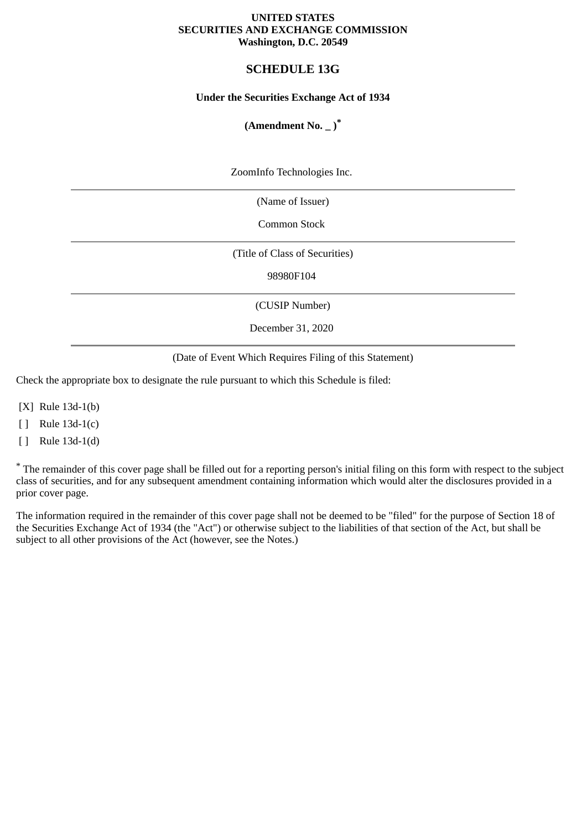#### **UNITED STATES SECURITIES AND EXCHANGE COMMISSION Washington, D.C. 20549**

# **SCHEDULE 13G**

#### **Under the Securities Exchange Act of 1934**

# **(Amendment No. \_ )\***

ZoomInfo Technologies Inc.

(Name of Issuer)

Common Stock

(Title of Class of Securities)

98980F104

(CUSIP Number)

December 31, 2020

(Date of Event Which Requires Filing of this Statement)

Check the appropriate box to designate the rule pursuant to which this Schedule is filed:

[X] Rule 13d-1(b)

[ ] Rule 13d-1(c)

[ ] Rule 13d-1(d)

\* The remainder of this cover page shall be filled out for a reporting person's initial filing on this form with respect to the subject class of securities, and for any subsequent amendment containing information which would alter the disclosures provided in a prior cover page.

The information required in the remainder of this cover page shall not be deemed to be "filed" for the purpose of Section 18 of the Securities Exchange Act of 1934 (the "Act") or otherwise subject to the liabilities of that section of the Act, but shall be subject to all other provisions of the Act (however, see the Notes.)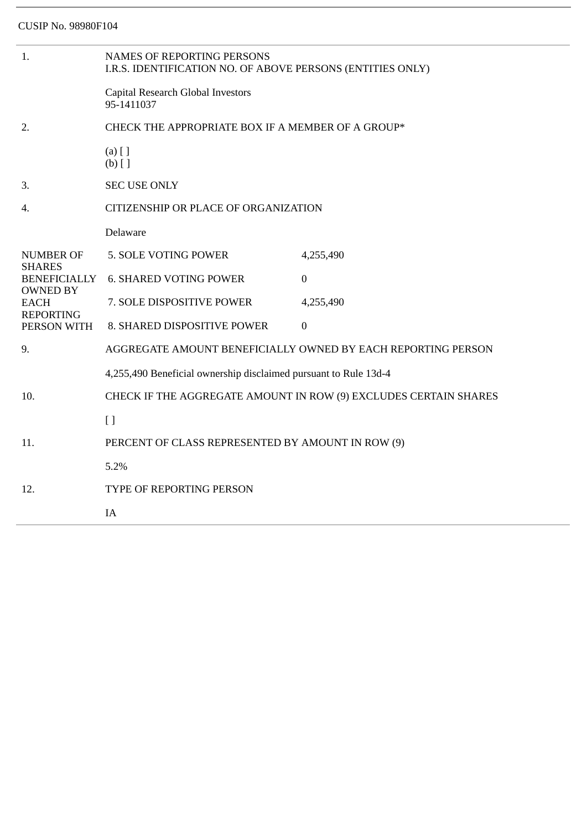| 1.                                                                                                                            | <b>NAMES OF REPORTING PERSONS</b><br>I.R.S. IDENTIFICATION NO. OF ABOVE PERSONS (ENTITIES ONLY) |                                                                  |  |
|-------------------------------------------------------------------------------------------------------------------------------|-------------------------------------------------------------------------------------------------|------------------------------------------------------------------|--|
|                                                                                                                               | Capital Research Global Investors<br>95-1411037                                                 |                                                                  |  |
| 2.                                                                                                                            | CHECK THE APPROPRIATE BOX IF A MEMBER OF A GROUP*                                               |                                                                  |  |
|                                                                                                                               | $(a)$ [ ]<br>$(b)$ []                                                                           |                                                                  |  |
| 3.                                                                                                                            | <b>SEC USE ONLY</b>                                                                             |                                                                  |  |
| 4.                                                                                                                            | CITIZENSHIP OR PLACE OF ORGANIZATION                                                            |                                                                  |  |
|                                                                                                                               | Delaware                                                                                        |                                                                  |  |
| <b>NUMBER OF</b><br><b>SHARES</b><br><b>BENEFICIALLY</b><br><b>OWNED BY</b><br><b>EACH</b><br><b>REPORTING</b><br>PERSON WITH | 5. SOLE VOTING POWER                                                                            | 4,255,490                                                        |  |
|                                                                                                                               | <b>6. SHARED VOTING POWER</b>                                                                   | $\mathbf{0}$                                                     |  |
|                                                                                                                               | 7. SOLE DISPOSITIVE POWER                                                                       | 4,255,490                                                        |  |
|                                                                                                                               | 8. SHARED DISPOSITIVE POWER                                                                     | $\boldsymbol{0}$                                                 |  |
| 9.                                                                                                                            | AGGREGATE AMOUNT BENEFICIALLY OWNED BY EACH REPORTING PERSON                                    |                                                                  |  |
|                                                                                                                               | 4,255,490 Beneficial ownership disclaimed pursuant to Rule 13d-4                                |                                                                  |  |
| 10.                                                                                                                           |                                                                                                 | CHECK IF THE AGGREGATE AMOUNT IN ROW (9) EXCLUDES CERTAIN SHARES |  |
|                                                                                                                               | $\lceil$                                                                                        |                                                                  |  |
| 11.                                                                                                                           | PERCENT OF CLASS REPRESENTED BY AMOUNT IN ROW (9)                                               |                                                                  |  |
|                                                                                                                               | 5.2%                                                                                            |                                                                  |  |
| 12.                                                                                                                           | TYPE OF REPORTING PERSON                                                                        |                                                                  |  |
|                                                                                                                               | IA                                                                                              |                                                                  |  |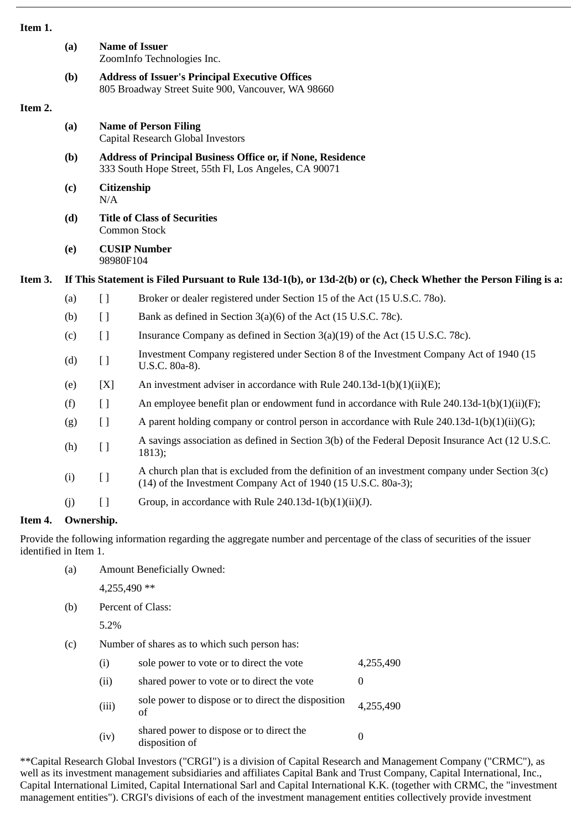| ×<br>٠<br>۰.<br>۰,<br>٠ |
|-------------------------|
|-------------------------|

|         | (a)        |                                                                                                                             | <b>Name of Issuer</b><br>ZoomInfo Technologies Inc.                                                                                                             |  |  |  |
|---------|------------|-----------------------------------------------------------------------------------------------------------------------------|-----------------------------------------------------------------------------------------------------------------------------------------------------------------|--|--|--|
|         | (b)        | <b>Address of Issuer's Principal Executive Offices</b><br>805 Broadway Street Suite 900, Vancouver, WA 98660                |                                                                                                                                                                 |  |  |  |
| Item 2. |            |                                                                                                                             |                                                                                                                                                                 |  |  |  |
|         | (a)        | <b>Name of Person Filing</b><br>Capital Research Global Investors                                                           |                                                                                                                                                                 |  |  |  |
|         | (b)        | <b>Address of Principal Business Office or, if None, Residence</b><br>333 South Hope Street, 55th Fl, Los Angeles, CA 90071 |                                                                                                                                                                 |  |  |  |
|         | (c)        | Citizenship<br>N/A                                                                                                          |                                                                                                                                                                 |  |  |  |
|         | (d)        | <b>Title of Class of Securities</b><br><b>Common Stock</b>                                                                  |                                                                                                                                                                 |  |  |  |
|         | (e)        | <b>CUSIP Number</b><br>98980F104                                                                                            |                                                                                                                                                                 |  |  |  |
| Item 3. |            | If This Statement is Filed Pursuant to Rule 13d-1(b), or 13d-2(b) or (c), Check Whether the Person Filing is a:             |                                                                                                                                                                 |  |  |  |
|         | (a)        | $[ \ ]$                                                                                                                     | Broker or dealer registered under Section 15 of the Act (15 U.S.C. 780).                                                                                        |  |  |  |
|         | (b)        | $\left[ \ \right]$                                                                                                          | Bank as defined in Section 3(a)(6) of the Act (15 U.S.C. 78c).                                                                                                  |  |  |  |
|         | (c)        | $\left[ \ \right]$                                                                                                          | Insurance Company as defined in Section 3(a)(19) of the Act (15 U.S.C. 78c).                                                                                    |  |  |  |
|         | (d)        | [ ]                                                                                                                         | Investment Company registered under Section 8 of the Investment Company Act of 1940 (15<br>U.S.C. 80a-8).                                                       |  |  |  |
|         | (e)        | [X]                                                                                                                         | An investment adviser in accordance with Rule 240.13d-1(b)(1)(ii)(E);                                                                                           |  |  |  |
|         | (f)        | $[ \ ]$                                                                                                                     | An employee benefit plan or endowment fund in accordance with Rule $240.13d-1(b)(1)(ii)(F)$ ;                                                                   |  |  |  |
|         | (g)        | $\left[ \ \right]$                                                                                                          | A parent holding company or control person in accordance with Rule $240.13d-1(b)(1)(ii)(G);$                                                                    |  |  |  |
|         | (h)        | [ ]                                                                                                                         | A savings association as defined in Section 3(b) of the Federal Deposit Insurance Act (12 U.S.C.<br>1813);                                                      |  |  |  |
|         | (i)        | $\left[\right]$                                                                                                             | A church plan that is excluded from the definition of an investment company under Section 3(c)<br>(14) of the Investment Company Act of 1940 (15 U.S.C. 80a-3); |  |  |  |
|         | (j)        | $\lceil$                                                                                                                    | Group, in accordance with Rule 240.13d-1(b)(1)(ii)(J).                                                                                                          |  |  |  |
| Item 4. | Ownership. |                                                                                                                             |                                                                                                                                                                 |  |  |  |

Provide the following information regarding the aggregate number and percentage of the class of securities of the issuer identified in Item 1.

(a) Amount Beneficially Owned:

4,255,490 \*\*

(b) Percent of Class:

5.2%

(c) Number of shares as to which such person has:

| (i)   | sole power to vote or to direct the vote                   | 4,255,490 |
|-------|------------------------------------------------------------|-----------|
| (ii)  | shared power to vote or to direct the vote                 |           |
| (iii) | sole power to dispose or to direct the disposition<br>of   | 4,255,490 |
| (iv)  | shared power to dispose or to direct the<br>disposition of |           |

\*\*Capital Research Global Investors ("CRGI") is a division of Capital Research and Management Company ("CRMC"), as well as its investment management subsidiaries and affiliates Capital Bank and Trust Company, Capital International, Inc., Capital International Limited, Capital International Sarl and Capital International K.K. (together with CRMC, the "investment management entities"). CRGI's divisions of each of the investment management entities collectively provide investment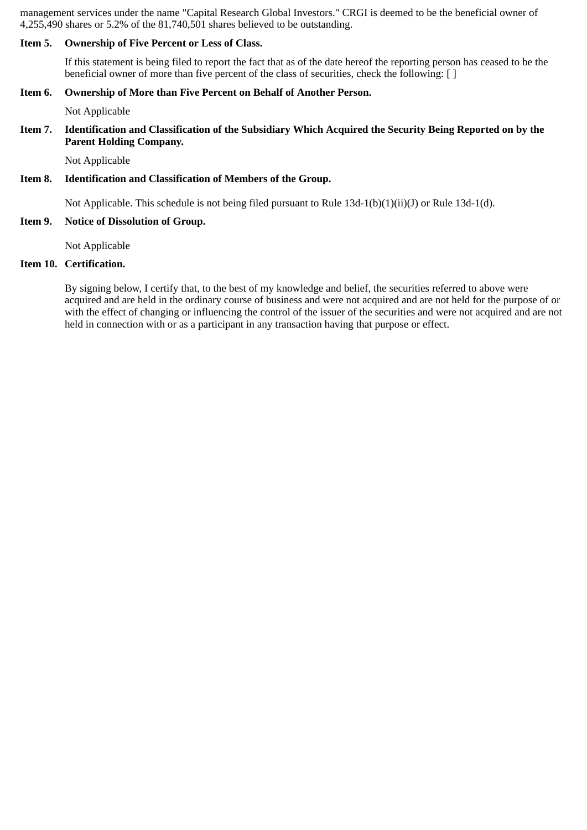management services under the name "Capital Research Global Investors." CRGI is deemed to be the beneficial owner of 4,255,490 shares or 5.2% of the 81,740,501 shares believed to be outstanding.

#### **Item 5. Ownership of Five Percent or Less of Class.**

If this statement is being filed to report the fact that as of the date hereof the reporting person has ceased to be the beneficial owner of more than five percent of the class of securities, check the following: [ ]

#### **Item 6. Ownership of More than Five Percent on Behalf of Another Person.**

Not Applicable

#### **Item 7. Identification and Classification of the Subsidiary Which Acquired the Security Being Reported on by the Parent Holding Company.**

Not Applicable

#### **Item 8. Identification and Classification of Members of the Group.**

Not Applicable. This schedule is not being filed pursuant to Rule 13d-1(b)(1)(ii)(J) or Rule 13d-1(d).

### **Item 9. Notice of Dissolution of Group.**

Not Applicable

# **Item 10. Certification.**

By signing below, I certify that, to the best of my knowledge and belief, the securities referred to above were acquired and are held in the ordinary course of business and were not acquired and are not held for the purpose of or with the effect of changing or influencing the control of the issuer of the securities and were not acquired and are not held in connection with or as a participant in any transaction having that purpose or effect.